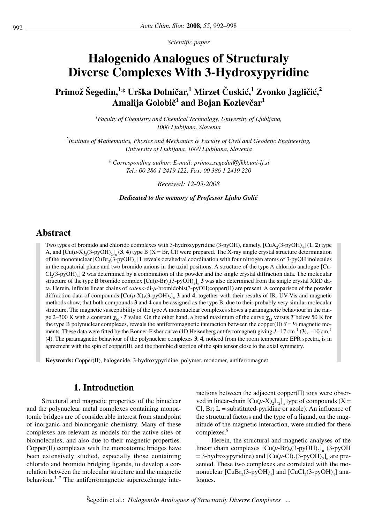*Scientific paper*

# **Halogenido Analogues of Structuraly Diverse Complexes With 3-Hydroxypyridine**

 $\Pr$ imož Šegedin,<sup>1</sup>\* Urška Dolničar,<sup>1</sup> Mirzet Čuskić,<sup>1</sup> Zvonko Jagličić,<sup>2</sup> Amalija Golobič<sup>1</sup> and Bojan Kozlevčar<sup>1</sup>

> *1 Faculty of Chemistry and Chemical Technology, University of Ljubljana, 1000 Ljubljana, Slovenia*

*2 Institute of Mathematics, Physics and Mechanics & Faculty of Civil and Geodetic Engineering, University of Ljubljana, 1000 Ljubljana, Slovenia*

> *\* Corresponding author: E-mail: primoz.segedin@fkkt.uni-lj.si Tel.: 00 386 1 2419 122; Fax: 00 386 1 2419 220*

> > *Received: 12-05-2008*

*Dedicated to the memory of Professor Ljubo Goli~*

## **Abstract**

Two types of bromido and chlorido complexes with 3-hydroxypyridine (3-pyOH), namely,  $[CuX_{2}(3-pyOH)]_{4}]$  (**1**, **2**) type A, and  $\left[\text{Cu}(\mu-\text{X}),(3-\text{pyOH})_2\right]$ , (3, 4) type B (X = Br, Cl) were prepared. The X-ray single crystal structure determination of the mononuclear  $\text{[CuBr}_{2}(3-pyOH)]$  **1** reveals octahedral coordination with four nitrogen atoms of 3-pyOH molecules in the equatorial plane and two bromido anions in the axial positions. A structure of the type A chlorido analogue [Cu- $Cl<sub>2</sub>(3-pyOH)<sub>4</sub>$  2 was determined by a combination of the powder and the single crystal diffraction data. The molecular structure of the type B bromido complex  $\left[\text{Cu}(\mu-\text{Br})$ <sub>2</sub>(3-pyOH)<sub>2</sub>]<sub>n</sub> 3 was also determined from the single crystal XRD data. Herein, infinite linear chains of *catena*-di-*µ*-bromidobis(3-pyOH)copper(II) are present. A comparison of the powder diffraction data of compounds  $\left[\text{Cu}(\mu\text{-}X), (3-\text{pyOH})_2\right]$ , 3 and 4, together with their results of IR, UV-Vis and magnetic methods show, that both compounds **3** and **4** can be assigned as the type B, due to their probably very similar molecular structure. The magnetic susceptibility of the type A mononuclear complexes shows a paramagnetic behaviour in the range 2–300 K with a constant  $\chi_M$  · *T* value. On the other hand, a broad maximum of the curve  $\chi_M$  versus *T* below 50 K for the type B polynuclear complexes, reveals the antiferromagnetic interaction between the copper(II)  $S = \frac{1}{2}$  magnetic moments. These data were fitted by the Bonner-Fisher curve (1D Heisenberg antiferromagnet) giving  $J-17$  cm<sup>-1</sup> (3),  $-10$  cm<sup>-1</sup> (**4**). The paramagnetic behaviour of the polynuclear complexes **3**, **4**, noticed from the room temperature EPR spectra, is in agreement with the spin of copper $(II)$ , and the rhombic distortion of the spin tensor close to the axial symmetry.

**Keywords:** Copper(II), halogenide, 3-hydroxypyridine, polymer, monomer, antiferromagnet

## **1. Introduction**

Structural and magnetic properties of the binuclear and the polynuclear metal complexes containing monoatomic bridges are of considerable interest from standpoint of inorganic and bioinorganic chemistry. Many of these complexes are relevant as models for the active sites of biomolecules, and also due to their magnetic properties. Copper(II) complexes with the monoatomic bridges have been extensively studied, especially those containing chlorido and bromido bridging ligands, to develop a correlation between the molecular structure and the magnetic behaviour. $1-7$  The antiferromagnetic superexchange interactions between the adjacent copper(II) ions were observed in linear-chain  $\left[\text{Cu}(\mu - X)_2\right]_n$  type of compounds (X =  $Cl$ ,  $Br$ ;  $L =$  substituted-pyridine or azole). An influence of the structural factors and the type of a ligand, on the magnitude of the magnetic interaction, were studied for these complexes.<sup>8</sup>

Herein, the structural and magnetic analyses of the linear chain complexes  $[Cu(\mu-Br)_{2}(3-pyOH)]_{n}$  (3-pyOH)  $= 3$ -hydroxypyridine) and  $\left[ Cu(\mu$ -Cl)<sub>2</sub>(3-pyOH)<sub>2</sub>]<sub>n</sub> are presented. These two complexes are correlated with the mononuclear  $[CuBr<sub>2</sub>(3-pyOH)<sub>4</sub>]$  and  $[CuCl<sub>2</sub>(3-pyOH)<sub>4</sub>]$  analogues.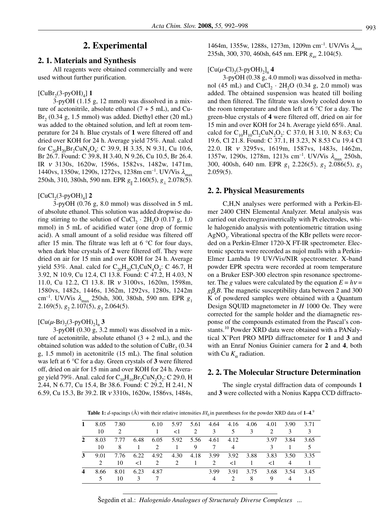## **2. Experimental**

#### **2. 1. Materials and Synthesis**

All reagents were obtained commercially and were used without further purification.

#### $[CuBr_{2}(3-pyOH)_{4}]$  **1**

3-pyOH (1.15 g, 12 mmol) was dissolved in a mixture of acetonitrile, absolute ethanol  $(7 + 5$  mL), and Cu-Br<sub>2</sub> (0.34 g, 1.5 mmol) was added. Diethyl ether (20 mL) was added to the obtained solution, and left at room temperature for 24 h. Blue crystals of **1** were filtered off and dried over KOH for 24 h. Average yield 75%. Anal. calcd for  $C_{20}H_{20}Br_2CuN_4O_4$ : C 39.9, H 3.35, N 9.31, Cu 10.6, Br 26.7. Found: C 39.8, H 3.40, N 9.26, Cu 10.5, Br 26.4. IR <sup>ν</sup> 3130s, 1620w, 1596s, 1582vs, 1482w, 1471m, 1440vs, 1350w, 1290s, 1272vs, 1238m cm<sup>-1</sup>. UV/Vis  $\lambda_{\text{max}}$ 250sh, 310, 380sh, 590 nm. EPR *g*|| 2.160(5), *g*<sup>⊥</sup> 2.078(5).

 $[CuCl<sub>2</sub>(3-pyOH)<sub>4</sub>]$  2

3-pyOH (0.76 g, 8.0 mmol) was dissolved in 5 mL of absolute ethanol. This solution was added dropwise during stirring to the solution of CuCl<sub>2</sub> · 2H<sub>2</sub>O (0.17 g, 1.0) mmol) in 5 mL of acidified water (one drop of formic acid). A small amount of a solid residue was filtered off after 15 min. The filtrate was left at  $6^{\circ}$ C for four days, when dark blue crystals of **2** were filtered off. They were dried on air for 15 min and over KOH for 24 h. Average yield 53%. Anal. calcd for  $C_{20}H_{20}Cl_2CuN_4O_4$ : C 46.7, H 3.92, N 10.9, Cu 12.4, Cl 13.8. Found: C 47.2, H 4.03, N 11.0, Cu 12.2, Cl 13.8. IR <sup>ν</sup> 3100vs, 1620m, 1598m, 1580vs, 1482s, 1446s, 1362m, 1292vs, 1280s, 1242m cm–1. UV/Vis λmax 250sh, 300, 380sh, 590 nm. EPR *g*<sup>1</sup> 2.169(5),  $g_2$  2.107(5),  $g_3$  2.064(5).

#### $[Cu(\mu-Br)_{2}(3-pyOH)_{2}]_{n}$  **3**

3-pyOH (0.30 g, 3.2 mmol) was dissolved in a mixture of acetonitrile, absolute ethanol  $(3 + 2$  mL), and the obtained solution was added to the solution of  $CuBr<sub>2</sub> (0.34)$ g, 1.5 mmol) in acetonitrile (15 mL). The final solution was left at 6 °C for a day. Green crystals of **3** were filtered off, dried on air for 15 min and over KOH for 24 h. Average yield 79%. Anal. calcd for  $C_{10}H_{10}Br_2CuN_2O_2$ : C 29.0, H 2.44, N 6.77, Cu 15.4, Br 38.6. Found: C 29.2, H 2.41, N 6.59, Cu 15.3, Br 39.2. IR <sup>ν</sup> 3310s, 1620w, 1586vs, 1484s,

1464m, 1355w, 1288s, 1273m, 1209m cm<sup>-1</sup>. UV/Vis  $\lambda_{\text{max}}$ 235sh, 300, 370, 460sh, 645 nm. EPR  $g_{av}$  2.104(5).

#### $[Cu(\mu$ -Cl)<sub>2</sub>(3-pyOH)<sub>2</sub>]<sub>n</sub> 4

3-pyOH (0.38 g, 4.0 mmol) was dissolved in methanol (45 mL) and CuCl<sub>2</sub>  $\cdot$  2H<sub>2</sub>O (0.34 g, 2.0 mmol) was added. The obtained suspension was heated till boiling and then filtered. The filtrate was slowly cooled down to the room temperature and then left at  $6^{\circ}$ C for a day. The green-blue crystals of **4** were filtered off, dried on air for 15 min and over KOH for 24 h. Average yield 65%. Anal. calcd for  $C_{10}H_{10}Cl_2CuN_2O_2$ : C 37.0, H 3.10, N 8.63; Cu 19.6, Cl 21.8. Found: C 37.1, H 3.23, N 8.53 Cu 19.4 Cl 22.0. IR <sup>ν</sup> 3295vs, 1619m, 1587vs, 1483s, 1462m, 1357w, 1290s, 1278m, 1213s cm<sup>-1</sup>. UV/Vis  $\lambda_{\text{max}}$  250sh, 300, 400sh, 640 nm. EPR  $g_1$  2.226(5),  $g_2$  2.086(5),  $g_3$ 2.059(5).

#### **2. 2. Physical Measurements**

C,H,N analyses were performed with a Perkin-Elmer 2400 CHN Elemental Analyzer. Metal analysis was carried out electrogravimetrically with Pt electrodes, while halogenido analysis with potentiometric titration using  $AgNO<sub>3</sub>$ . Vibrational spectra of the KBr pellets were recorded on a Perkin-Elmer 1720-X FT-IR spectrometer. Electronic spectra were recorded as nujol mulls with a Perkin-Elmer Lambda 19 UV/Vis/NIR spectrometer. X-band powder EPR spectra were recorded at room temperature on a Bruker ESP-300 electron spin resonance spectrometer. The *g* values were calculated by the equation  $E = hv =$  $g\beta_e B$ . The magnetic susceptibility data between 2 and 300 K of powdered samples were obtained with a Quantum Design SQUID magnetometer in *H* 1000 Oe. They were corrected for the sample holder and the diamagnetic response of the compounds estimated from the Pascal's constants.<sup>10</sup> Powder XRD data were obtained with a PANalytical X'Pert PRO MPD diffractometer for **1** and **3** and with an Enraf Nonius Guinier camera for **2** and **4**, both with Cu  $K_{\alpha}$  radiation.

#### **2. 2. The Molecular Structure Determination**

The single crystal diffraction data of compounds **1** and **3** were collected with a Nonius Kappa CCD diffracto-

**Table 1:** *d*-spacings ( $\AA$ ) with their relative intensities  $III_0$  in parentheses for the powder XRD data of  $1-4$ .

|                  | 8.05 | 7.80                        |          | 6.10          | 5.97                        | 5.61      | 4.64                          | 4.16 | 4.06 | 4.01                        | 3.90 | 3.71 |
|------------------|------|-----------------------------|----------|---------------|-----------------------------|-----------|-------------------------------|------|------|-----------------------------|------|------|
|                  | 10   | $\mathcal{D}_{\mathcal{L}}$ |          |               | <1                          | 2         | 3                             | 5    | 3    | $\mathcal{D}_{\mathcal{L}}$ | 3    |      |
|                  | 8.03 | 7.77                        | 6.48     | 6.05          |                             | 5.92 5.56 | 4.61                          | 4.12 |      | 3.97                        | 3.84 | 3.65 |
|                  | 10   |                             |          | $\mathcal{L}$ |                             | 9         | 7                             | 4    |      |                             |      |      |
|                  | 9.01 | 7.76                        | 6.22     | 4.92          | 4.30                        | 4.18      | 3.99                          | 3.92 | 3.88 | 3.83                        | 3.50 | 3.35 |
|                  |      | 10                          | $\leq$ 1 | $2^{1}$       | $\mathcal{D}_{\mathcal{L}}$ |           | $\mathfrak{D}_{\mathfrak{p}}$ | <1   |      | <1                          | 4    |      |
| $\boldsymbol{4}$ | 8.66 | 8.01                        | 6.23     | 4.87          |                             |           | 3.99                          | 3.91 | 3.75 | 3.68                        | 3.54 | 3.45 |
|                  |      | 10                          |          |               |                             |           | 4                             |      | 8    | 9                           | 4    |      |
|                  |      |                             |          |               |                             |           |                               |      |      |                             |      |      |

[egedin et al.: *Halogenido Analogues of Structuraly Diverse Complexes ...*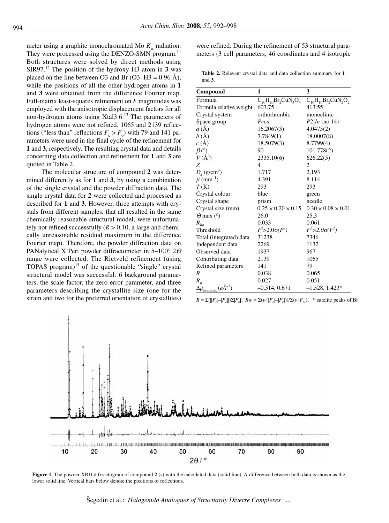meter using a graphite monochromated Mo  $K_{\alpha}$  radiation. They were processed using the DENZO-SMN program.<sup>11</sup> Both structures were solved by direct methods using SIR97.<sup>12</sup> The position of the hydroxy H3 atom in **3** was placed on the line between O3 and Br (O3–H3 =  $0.96 \text{ Å}$ ), while the positions of all the other hydrogen atoms in **1** and **3** were obtained from the difference Fourier map. Full-matrix least-squares refinement on *F* magnitudes was employed with the anisotropic displacement factors for all non-hydrogen atoms using Xtal3.6.13 The parameters of hydrogen atoms were not refined. 1065 and 2139 reflections ("less than" reflections  $F_c > F_o$ ) with 79 and 141 parameters were used in the final cycle of the refinement for **1** and **3**, respectively. The resulting crystal data and details concerning data collection and refinement for **1** and **3** are quoted in Table 2.

The molecular structure of compound **2** was determined differently as for **1** and **3**, by using a combination of the single crystal and the powder diffraction data. The single crystal data for **2** were collected and processed as described for **1** and **3**. However, three attempts with crystals from different samples, that all resulted in the same chemically reasonable structural model, were unfortunately not refined successfully  $(R > 0.10$ , a large and chemically unreasonable residual maximum in the difference Fourier map). Therefore, the powder diffraction data on PANalytical X'Pert powder diffractometer in 5–100° 2Θ range were collected. The Rietveld refinement (using TOPAS program $)^{14}$  of the questionable "single" crystal structural model was successful. 6 background parameters, the scale factor, the zero error parameter, and three parameters describing the crystallite size (one for the strain and two for the preferred orientation of crystallites) were refined. During the refinement of 53 structural parameters (3 cell parameters, 46 coordinates and 4 isotropic

**Table 2.** Relevant crystal data and data collection summary for **1** and **3**.

| Compound                                 | 1                              | 3                              |
|------------------------------------------|--------------------------------|--------------------------------|
| Formula                                  | $C_{20}H_{20}Br_2CuN_4O_4$     | $C_{10}H_{10}Br_2CuN_2O_2$     |
| Formula relative weight                  | 603.75                         | 413.55                         |
| Crystal system                           | orthorhombic                   | monoclinic                     |
| Space group                              | Pcca                           | $P2_1/n$ (no.14)               |
| $a(\AA)$                                 | 16.2067(3)                     | 4.0475(2)                      |
| b(A)                                     | 7.7849(1)                      | 18.0007(8)                     |
| c(A)                                     | 18.5079(3)                     | 8.7799(4)                      |
| $\beta$ (°)                              | 90                             | 101.778(2)                     |
| $V({\rm \AA}^3)$                         | 2335.10(6)                     | 626.22(5)                      |
| Z                                        | 4                              | 2                              |
| $D_{x}$ (g/cm <sup>3</sup> )             | 1.717                          | 2.193                          |
| $\mu$ (mm <sup>-1</sup> )                | 4.391                          | 8.114                          |
| T(K)                                     | 293                            | 293                            |
| Crystal colour                           | blue                           | green                          |
| Crystal shape                            | prism                          | needle                         |
| Crystal size (mm)                        | $0.25 \times 0.20 \times 0.15$ | $0.30 \times 0.08 \times 0.01$ |
| $\Theta$ max $($ <sup>o</sup> $)$        | 26.0                           | 25.3                           |
| $R_{\rm int}$                            | 0.033                          | 0.061                          |
| Threshold                                | $F^2 > 2.0 \sigma(F^2)$        | $F^2 > 2.0 \sigma(F^2)$        |
| Total (integrated) data                  | 31238                          | 7346                           |
| Independent data                         | 2269                           | 1132                           |
| Observed data                            | 1937                           | 967                            |
| Contributing data                        | 2139                           | 1065                           |
| Refined parameters                       | 141                            | 79                             |
| R                                        | 0.038                          | 0.065                          |
| $R_{w}$                                  | 0.027                          | 0.051                          |
| $\Delta\rho_{\text{min,max}}(e\AA^{-3})$ | $-0.514, 0.671$                | $-1.528$ , 1.423*              |

 $R = \Sigma(||F_o|-|F_c||)\Sigma|F_o|$ ;  $Rw = \Sigma(w(|F_o|-|F_c|))/\Sigma(w|F_o|)$ ; \* satelite peaks of Br



**Figure 1.** The powder XRD difrractogram of compound **2** (°) with the calculated data (solid line). A difference between both data is shown as the lower solid line. Vertical bars below denote the positions of reflections.

<sup>[</sup>egedin et al.: *Halogenido Analogues of Structuraly Diverse Complexes ...*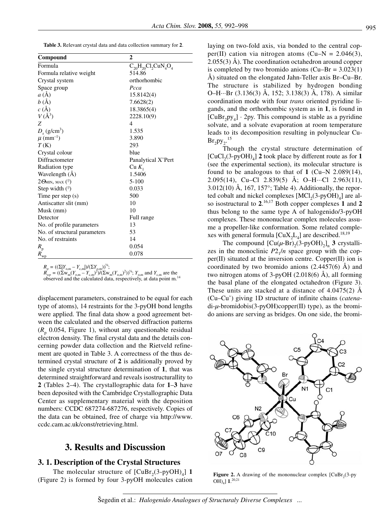**Table 3.** Relevant crystal data and data collection summary for **2**.

| Compound                         | $\overline{2}$             |
|----------------------------------|----------------------------|
| Formula                          | $C_{20}H_{20}Cl_2CuN_4O_4$ |
| Formula relative weight          | 514.86                     |
| Crystal system                   | orthorhombic               |
| Space group                      | Pcca                       |
| a(A)                             | 15.8142(4)                 |
| b(A)                             | 7.6628(2)                  |
| c(A)                             | 18.3865(4)                 |
| $V(\AA^3)$                       | 2228.10(9)                 |
| Z                                | 4                          |
| $D_{y}$ (g/cm <sup>3</sup> )     | 1.535                      |
| $\mu$ (mm <sup>-1</sup> )        | 3.890                      |
| T(K)                             | 293                        |
| Crystal colour                   | blue                       |
| Diffractometer                   | Panalytical X'Pert         |
| Radiation type                   | Cu K <sub>1</sub>          |
| Wavelength $(A)$                 | 1.5406                     |
| $2\Theta$ min, max ( $\degree$ ) | $5 - 100$                  |
| Step width $($ <sup>o</sup> $)$  | 0.033                      |
| Time per step (s)                | 500                        |
| Antiscatter slit (mm)            | 10                         |
| Musk (mm)                        | 10                         |
| Detector                         | Full range                 |
| No. of profile parameters        | 13                         |
| No. of structural parameters     | 53                         |
| No. of restraints                | 14                         |
| $R_{\rm p}$                      | 0.054                      |
| $R_{\text{wp}}$                  | 0.078                      |

 $R_p = ((\Sigma | Y_{o,m} - Y_{c,m}|)/(\Sigma Y_{o,m}))^{1/2};$ 

 $R_{wp}^r = ((\Sigma w_m (Y_{o,m} - Y_{c,m})^2) / (\Sigma w_m (Y_{o,m})^2))^{1/2}$ ; *Y<sub>o,m</sub>* and *Y<sub>c,m</sub>* are the observed and the calculated data, respectively, at data point m.<sup>14</sup>

displacement parameters, constrained to be equal for each type of atoms), 14 restraints for the 3-pyOH bond lengths were applied. The final data show a good agreement between the calculated and the observed diffraction patterns  $(R_p 0.054,$  Figure 1), without any questionable residual electron density. The final crystal data and the details concerning powder data collection and the Rietveld refinement are quoted in Table 3. A correctness of the thus determined crystal structure of **2** is additionally proved by the single crystal structure determination of **1**, that was determined straightforward and reveals isostructurallity to **2** (Tables 2–4). The crystallographic data for **1**–**3** have been deposited with the Cambridge Crystallographic Data Center as supplementary material with the deposition numbers: CCDC 687274-687276, respectively. Copies of the data can be obtained, free of charge via http://www. ccdc.cam.ac.uk/const/retrieving.html.

## **3. Results and Discussion**

#### **3. 1. Description of the Crystal Structures**

The molecular structure of  $\text{[CuBr}_{2}(3-pyOH)_{4}]$  1 (Figure 2) is formed by four 3-pyOH molecules cation laying on two-fold axis, via bonded to the central copper(II) cation via nitrogen atoms (Cu–N =  $2.046(3)$ , 2.055(3) Å). The coordination octahedron around copper is completed by two bromido anions  $(Cu-Br = 3.023(1))$ Å) situated on the elongated Jahn-Teller axis Br–Cu–Br. The structure is stabilized by hydrogen bonding O–H···Br (3.136(3) Å, 152; 3.138(3) Å, 178). A similar coordination mode with four *trans* oriented pyridine ligands, and the orthorhombic system as in **1**, is found in  $[CuBr<sub>2</sub>py<sub>4</sub>] \cdot 2py$ . This compound is stable as a pyridine solvate, and a solvate evaporation at room temperature leads to its decomposition resulting in polynuclear Cu- $Br_2py_2$ <sup>15</sup>

Though the crystal structure determination of  $[CuCl<sub>2</sub>(3-pyOH)<sub>4</sub>]$  2 took place by different route as for 1 (see the experimental section), its molecular structure is found to be analogous to that of  $1$  (Cu–N 2.089(14), 2.095(14), Cu–Cl 2.839(5) Å; O–H···Cl 2.963(11),  $3.012(10)$  Å, 167, 157°; Table 4). Additionally, the reported cobalt and nickel complexes  $[MCl_2(3-pyOH)_4]$  are also isostructural to **2**. 16,17 Both copper complexes **1** and **2** thus belong to the same type A of halogenido/3-pyOH complexes. These mononuclear complex molecules assume a propeller-like conformation. Some related complexes with general formula  $\text{[CuX, L}_4\text{]}$  are described.<sup>18,19</sup>

The compound  $\left[\text{Cu}(\mu-\text{Br})_{2}(3-\text{pyOH})_{2}\right]$  **3** crystallizes in the monoclinic  $P2_1/n$  space group with the copper(II) situated at the inversion centre. Copper(II) ion is coordinated by two bromido anions  $(2.4457(6)$  Å) and two nitrogen atoms of 3-pyOH (2.018(6) Å), all forming the basal plane of the elongated octahedron (Figure 3). These units are stacked at a distance of  $4.0475(2)$  Å (Cu–Cu') giving 1D structure of infinite chains (*catena*di-*µ*-bromidobis(3-pyOH)copper(II) type), as the bromido anions are serving as bridges. On one side, the bromi-



**Figure 2.** A drawing of the mononuclear complex  $\lbrack \text{CuBr}_2(3-py) \rbrack$ OH)4] **1**. 20,21

<sup>[</sup>egedin et al.: *Halogenido Analogues of Structuraly Diverse Complexes ...*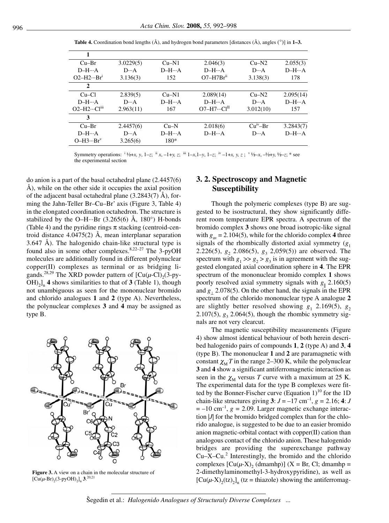| $Cu-Br$             | 3.0229(5)         | $Cu-N1$        | 2.046(3)          | $Cu-N2$                 | 2.055(3)       |
|---------------------|-------------------|----------------|-------------------|-------------------------|----------------|
| $D-H \cdots A$      | $D \cdot \cdot A$ | $D-H \cdots A$ | $D-H \cdots A$    | $D \cdots A$            | $D-H \cdots A$ |
| $O2-H2\cdots Br^1$  | 3.136(3)          | 152            | $O7 - H7Brth$     | 3.138(3)                | 178            |
| $\mathbf{2}$        |                   |                |                   |                         |                |
| $Cu-Cl$             | 2.839(5)          | $Cu-N1$        | 2.089(14)         | $Cu-N2$                 | 2.095(14)      |
| $D-H \cdots A$      | $D \cdot \cdot A$ | $D-H \cdots A$ | $D-H \cdots A$    | $D \cdot \cdot \cdot A$ | $D-H \cdots A$ |
| $O2-H2\cdots Clm$   | 2.963(11)         | 167            | $O7-H7\cdots ClH$ | 3.012(10)               | 157            |
| 3                   |                   |                |                   |                         |                |
| $Cu-Br$             | 2.4457(6)         | $Cu-N$         | 2.018(6)          | $Cuiv-Br$               | 3.2843(7)      |
| $D-H \cdots A$      | $D \cdot \cdot A$ | $D-H \cdots A$ | $D-H \cdots A$    | $D \cdots A$            | $D-H \cdots A$ |
| $O-H3\cdots Br^{v}$ | 3.265(6)          | $180*$         |                   |                         |                |

**Table 4.** Coordination bond lengths (Å), and hydrogen bond parameters [distances (Å), angles (°)] in **1–3.**

Symmetry operations:  ${}^{i}$   $\frac{1}{2}$  +*x*, *y*, 1–*z*;  ${}^{ii}$  *x*, -1+*y*, *z*;  ${}^{iii}$  1–*x*, 1–*y*, 1–*z*;  ${}^{iv}$  –1+*x*, *y*, *z*;  ${}^{v}$   $\frac{1}{2}$  +*x*,  $\frac{1}{2}$  +*x*,  $\frac{1}{2}$  +*x*,  $\frac{1}{2}$  +*x*,  $\frac{1}{2}$  +*z*; the experimental section

do anion is a part of the basal octahedral plane (2.4457(6) Å), while on the other side it occupies the axial position of the adjacent basal octahedral plane  $(3.2843(7)$  Å), forming the Jahn-Teller Br–Cu–Br' axis (Figure 3, Table 4) in the elongated coordination octahedron. The structure is stabilized by the O–H $\cdots$ Br (3.265(6) Å, 180 $\degree$ ) H-bonds (Table 4) and the pyridine rings  $\pi$  stacking (centroid-centroid distance 4.0475(2) Å, mean interplanar separation 3.647 Å). The halogenido chain-like structural type is found also in some other complexes.<sup>8,22–27</sup> The 3-pyOH molecules are additionally found in different polynuclear copper(II) complexes as terminal or as bridging ligands.<sup>28,29</sup> The XRD powder pattern of  $[Cu(\mu-Cl)$ <sub>2</sub>(3-py- $OH$ <sub>)</sub> $]_n$  4 shows similarities to that of 3 (Table 1), though not unambiguous as seen for the mononuclear bromido and chlorido analogues **1** and **2** (type A). Nevertheless, the polynuclear complexes **3** and **4** may be assigned as type B.



**Figure 3.** A view on a chain in the molecular structure of  $[Cu(\mu-Br)_{2}(3-pyOH)_{2}]_{n}$  **3**.<sup>20,21</sup>

## **3. 2. Spectroscopy and Magnetic Susceptibility**

Though the polymeric complexes (type B) are suggested to be isostructural, they show significantly different room temperature EPR spectra. A spectrum of the bromido complex **3** shows one broad isotropic-like signal with  $g_w = 2.104(5)$ , while for the chlorido complex 4 three signals of the rhombically distorted axial symmetry  $(g_1$ 2.226(5),  $g_2$  2.086(5),  $g_3$  2,059(5)) are observed. The spectrum with  $g_1 \gg g_2 \gg g_3$  is in agreement with the suggested elongated axial coordination sphere in **4**. The EPR spectrum of the mononuclear bromido complex **1** shows poorly resolved axial symmetry signals with  $g_{\parallel}$  2.160(5) and  $g_1$  2.078(5). On the other hand, the signals in the EPR spectrum of the chlorido mononuclear type A analogue **2** are slightly better resolved showing  $g_1$  2.169(5),  $g_2$ 2.107(5),  $g_3$  2.064(5), though the rhombic symmetry signals are not very clearcut.

The magnetic susceptibility measurements (Figure 4) show almost identical behaviour of both herein described halogenido pairs of compounds **1**, **2** (type A) and **3**, **4** (type B). The mononuclear **1** and **2** are paramagnetic with constant  $\chi_M T$  in the range 2–300 K, while the polynuclear **3** and **4** show a significant antiferromagnetic interaction as seen in the  $\chi_M$  versus *T* curve with a maximum at 25 K. The experimental data for the type B complexes were fitted by the Bonner-Fischer curve (Equation  $1$ )<sup>10</sup> for the 1D chain-like structures giving  $3: J = -17$  cm<sup>-1</sup>,  $g = 2.16; 4: J$  $= -10$  cm<sup>-1</sup>,  $g = 2.09$ . Larger magnetic exchange interaction |*J*| for the bromido bridged complex than for the chlorido analogue, is suggested to be due to an easier bromido anion magnetic-orbital contact with copper(II) cation than analogous contact of the chlorido anion. These halogenido bridges are providing the superexchange pathway  $Cu-X-Cu<sup>2</sup>$  Interestingly, the bromido and the chlorido complexes  $[Cu(\mu-X), (dmanhp)]$  (X = Br, Cl; dmamhp = 2-dimethylaminomethyl-3-hydroxypyridine), as well as  $[Cu(\mu-X)_2(tz)_2]_n$  (tz = thiazole) showing the antiferromag-

[egedin et al.: *Halogenido Analogues of Structuraly Diverse Complexes ...*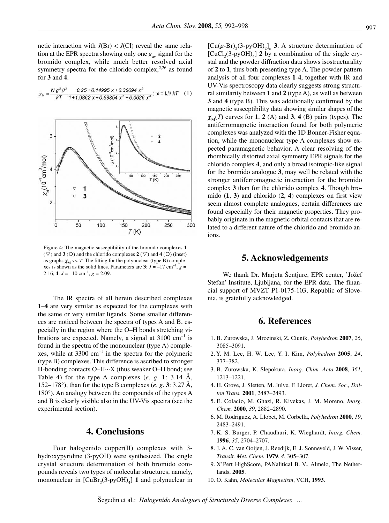netic interaction with  $J(Br) < J(Cl)$  reveal the same relation at the EPR spectra showing only one  $g_w$  signal for the bromido complex, while much better resolved axial symmetry spectra for the chlorido complex, $2,26$  as found for **3** and **4**.

$$
\chi_M = \frac{N g^2 \beta^2}{kT} \frac{0.25 + 0.14995 x + 0.30094 x^2}{1 + 1.9862 x + 0.68854 x^2 + 6.0626 x^3}; x = |J| / kT
$$
 (1)



Figure 4: The magnetic susceptibility of the bromido complexes **1**  $(\nabla)$  and **3** (O) and the chlorido complexes **2** ( $(\nabla)$  and **4** (O) (inset) as graphs  $\chi_M$  vs. *T*. The fitting for the polynuclear (type B) complexes is shown as the solid lines. Parameters are  $3: J = -17$  cm<sup>-1</sup>,  $g =$ 2.16; **4**:  $J = -10$  cm<sup>-1</sup>,  $g = 2.09$ .

The IR spectra of all herein described complexes **1**–**4** are very similar as expected for the complexes with the same or very similar ligands. Some smaller differences are noticed between the spectra of types A and B, especially in the region where the O–H bonds stretching vibrations are expected. Namely, a signal at  $3100 \text{ cm}^{-1}$  is found in the spectra of the mononuclear (type A) complexes, while at  $3300 \text{ cm}^{-1}$  in the spectra for the polymeric (type B) complexes. This difference is ascribed to stronger H-bonding contacts O–H···X (thus weaker O–H bond; see Table 4) for the type A complexes (*e*. *g*. **1**: 3.14 Å, 152–178°), than for the type B complexes (*e*. *g*. **3**: 3.27 Å, 180°). An analogy between the compounds of the types A and B is clearly visible also in the UV-Vis spectra (see the experimental section).

## **4. Conclusions**

Four halogenido copper(II) complexes with 3 hydroxypyridine (3-pyOH) were synthesized. The single crystal structure determination of both bromido compounds reveals two types of molecular structures, namely, mononuclear in  $\text{[CuBr}_{2}(3-pyOH)_{4}]$  **1** and polynuclear in  $[Cu(\mu-Br)_{2}(3-pyOH)]_{2}$ , 3. A structure determination of  $[CuCl<sub>2</sub>(3-pyOH)<sub>A</sub>]$  2 by a combination of the single crystal and the powder diffraction data shows isostructurality of **2** to **1**, thus both presenting type A. The powder pattern analysis of all four complexes **1**-**4**, together with IR and UV-Vis spectroscopy data clearly suggests strong structural similarity between **1** and **2** (type A), as well as between **3** and **4** (type B). This was additionally confirmed by the magnetic susceptibility data showing similar shapes of the  $\chi_M(T)$  curves for **1**, **2** (A) and **3**, **4** (B) pairs (types). The antiferromagnetic interaction found for both polymeric complexes was analyzed with the 1D Bonner-Fisher equation, while the mononuclear type A complexes show expected paramagnetic behavior. A clear resolving of the rhombically distorted axial symmetry EPR signals for the chlorido complex **4**, and only a broad isotropic-like signal for the bromido analogue **3**, may well be related with the stronger antiferromagnetic interaction for the bromido complex **3** than for the chlorido complex **4**. Though bromido (**1**, **3**) and chlorido (**2**, **4**) complexes on first view seem almost complete analogues, certain differences are found especially for their magnetic properties. They probably originate in the magnetic orbital contacts that are related to a different nature of the chlorido and bromido anions.

## **5. Acknowledgements**

We thank Dr. Marjeta Šentjurc, EPR center, 'Jožef Stefan' Institute, Ljubljana, for the EPR data. The financial support of MVZT P1-0175-103, Republic of Slovenia, is gratefully acknowledged.

## **6. References**

- 1. B. Zurowska, J. Mrozinski, Z. Ciunik, *Polyhedron* **2007**, *26*, 3085–3091.
- 2. Y. M. Lee, H. W. Lee, Y. I. Kim, *Polyhedron* **2005**, *24*, 377–382.
- 3. B. Zurowska, K. Slepokura, *Inorg. Chim. Acta* **2008**, *361*, 1213–1221.
- 4. H. Grove, J. Sletten, M. Julve, F. Lloret, *J. Chem. Soc., Dalton Trans.* **2001**, 2487–2493.
- 5. E. Colacio, M. Ghazi, R. Kivekas, J. M. Moreno, *Inorg. Chem.* **2000**, *39*, 2882–2890.
- 6. M. Rodriguez, A. Llobet, M. Corbella, *Polyhedron* **2000**, *19*, 2483–2491.
- 7. K. S. Burger, P. Chaudhuri, K. Wieghardt, *Inorg. Chem.* **1996**, *35*, 2704–2707.
- 8. J. A. C. van Ooijen, J. Reedijk, E. J. Sonneveld, J. W. Visser, *Transit. Met. Chem.* **1979**, *4*, 305–307.
- 9. X'Pert HighScore, PANalitical B. V., Almelo, The Netherlands, **2005**.
- 10. O. Kahn, *Molecular Magnetism*, VCH, **1993**.